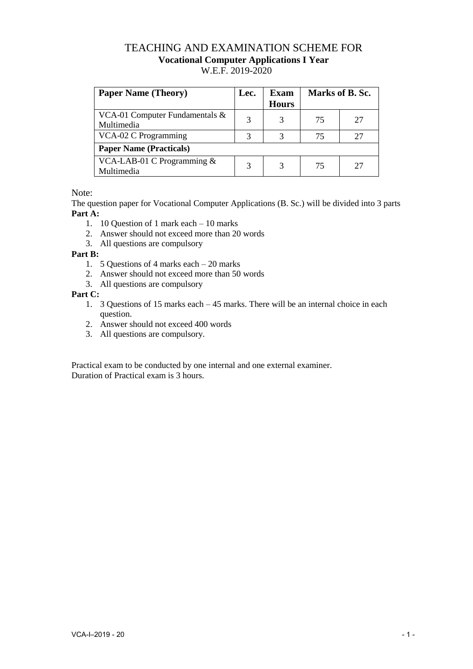## TEACHING AND EXAMINATION SCHEME FOR **Vocational Computer Applications I Year**  W.E.F. 2019-2020

| <b>Paper Name (Theory)</b>                      | Lec. | Exam<br><b>Hours</b> | Marks of B. Sc. |    |
|-------------------------------------------------|------|----------------------|-----------------|----|
| VCA-01 Computer Fundamentals $\&$<br>Multimedia | 3    |                      | 75              | 27 |
| VCA-02 C Programming                            | 3    | 3                    | 75              | 27 |
| <b>Paper Name (Practicals)</b>                  |      |                      |                 |    |
| VCA-LAB-01 C Programming $&$<br>Multimedia      | 3    |                      | 75              | 27 |

Note:

The question paper for Vocational Computer Applications (B. Sc.) will be divided into 3 parts **Part A:**

- 1. 10 Question of 1 mark each 10 marks
- 2. Answer should not exceed more than 20 words
- 3. All questions are compulsory

## **Part B:**

- 1. 5 Questions of 4 marks each 20 marks
- 2. Answer should not exceed more than 50 words
- 3. All questions are compulsory

**Part C:**

- 1. 3 Questions of 15 marks each 45 marks. There will be an internal choice in each question.
- 2. Answer should not exceed 400 words
- 3. All questions are compulsory.

Practical exam to be conducted by one internal and one external examiner. Duration of Practical exam is 3 hours.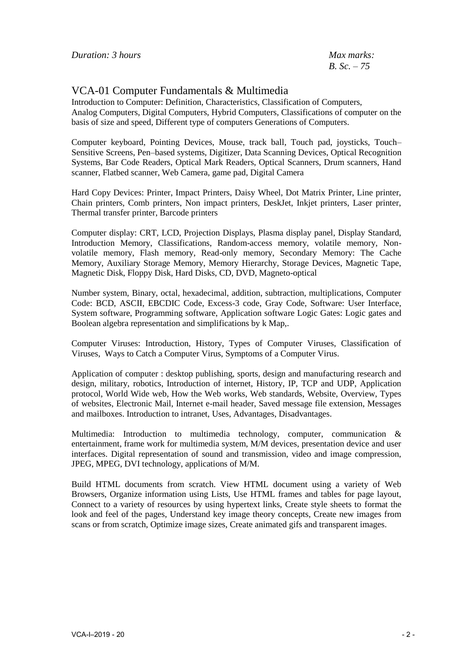*B. Sc. – 75*

## VCA-01 Computer Fundamentals & Multimedia

Introduction to Computer: Definition, Characteristics, Classification of Computers, Analog Computers, Digital Computers, Hybrid Computers, Classifications of computer on the basis of size and speed, Different type of computers Generations of Computers.

Computer keyboard, Pointing Devices, Mouse, track ball, Touch pad, joysticks, Touch– Sensitive Screens, Pen–based systems, Digitizer, Data Scanning Devices, Optical Recognition Systems, Bar Code Readers, Optical Mark Readers, Optical Scanners, Drum scanners, Hand scanner, Flatbed scanner, Web Camera, game pad, Digital Camera

Hard Copy Devices: Printer, Impact Printers, Daisy Wheel, Dot Matrix Printer, Line printer, Chain printers, Comb printers, Non impact printers, DeskJet, Inkjet printers, Laser printer, Thermal transfer printer, Barcode printers

Computer display: CRT, LCD, Projection Displays, Plasma display panel, Display Standard, Introduction Memory, Classifications, Random-access memory, volatile memory, Nonvolatile memory, Flash memory, Read-only memory, Secondary Memory: The Cache Memory, Auxiliary Storage Memory, Memory Hierarchy, Storage Devices, Magnetic Tape, Magnetic Disk, Floppy Disk, Hard Disks, CD, DVD, Magneto-optical

Number system, Binary, octal, hexadecimal, addition, subtraction, multiplications, Computer Code: BCD, ASCII, EBCDIC Code, Excess-3 code, Gray Code, Software: User Interface, System software, Programming software, Application software Logic Gates: Logic gates and Boolean algebra representation and simplifications by k Map,.

Computer Viruses: Introduction, History, Types of Computer Viruses, Classification of Viruses, Ways to Catch a Computer Virus, Symptoms of a Computer Virus.

Application of computer : desktop publishing, sports, design and manufacturing research and design, military, robotics, Introduction of internet, History, IP, TCP and UDP, Application protocol, World Wide web, How the Web works, Web standards, Website, Overview, Types of websites, Electronic Mail, Internet e-mail header, Saved message file extension, Messages and mailboxes. Introduction to intranet, Uses, Advantages, Disadvantages.

Multimedia: Introduction to multimedia technology, computer, communication & entertainment, frame work for multimedia system, M/M devices, presentation device and user interfaces. Digital representation of sound and transmission, video and image compression, JPEG, MPEG, DVI technology, applications of M/M.

Build HTML documents from scratch. View HTML document using a variety of Web Browsers, Organize information using Lists, Use HTML frames and tables for page layout, Connect to a variety of resources by using hypertext links, Create style sheets to format the look and feel of the pages, Understand key image theory concepts, Create new images from scans or from scratch, Optimize image sizes, Create animated gifs and transparent images.